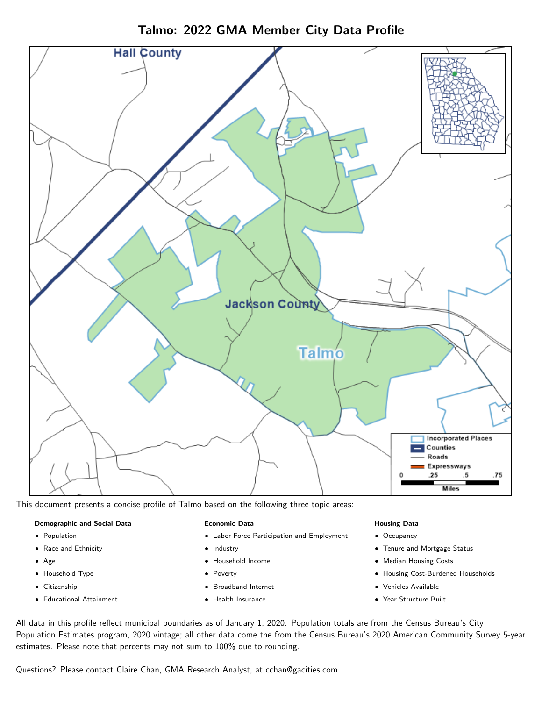

Talmo: 2022 GMA Member City Data Profile

This document presents a concise profile of Talmo based on the following three topic areas:

#### Demographic and Social Data

- **•** Population
- Race and Ethnicity
- Age
- Household Type
- **Citizenship**
- Educational Attainment

#### Economic Data

- Labor Force Participation and Employment
- Industry
- Household Income
- Poverty
- Broadband Internet
- Health Insurance

#### Housing Data

- Occupancy
- Tenure and Mortgage Status
- Median Housing Costs
- Housing Cost-Burdened Households
- Vehicles Available
- $\bullet$ Year Structure Built

All data in this profile reflect municipal boundaries as of January 1, 2020. Population totals are from the Census Bureau's City Population Estimates program, 2020 vintage; all other data come the from the Census Bureau's 2020 American Community Survey 5-year estimates. Please note that percents may not sum to 100% due to rounding.

Questions? Please contact Claire Chan, GMA Research Analyst, at [cchan@gacities.com.](mailto:cchan@gacities.com)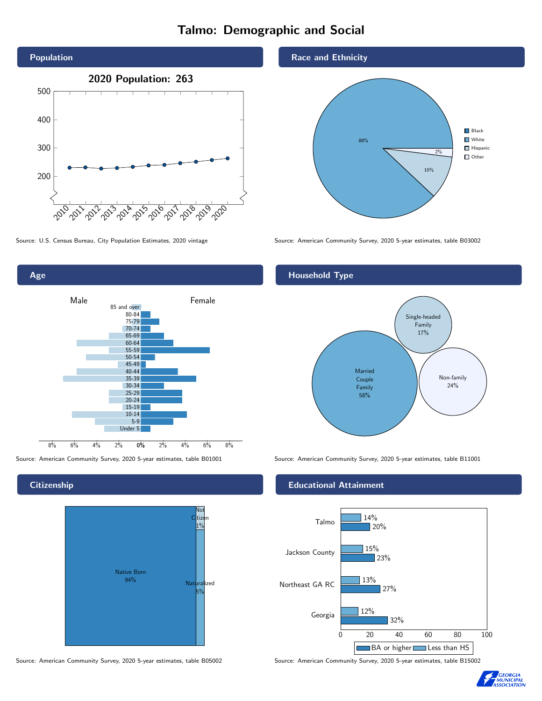# Talmo: Demographic and Social





#### **Citizenship**



Source: American Community Survey, 2020 5-year estimates, table B05002 Source: American Community Survey, 2020 5-year estimates, table B15002

#### Race and Ethnicity



Source: U.S. Census Bureau, City Population Estimates, 2020 vintage Source: American Community Survey, 2020 5-year estimates, table B03002

#### Household Type



Source: American Community Survey, 2020 5-year estimates, table B01001 Source: American Community Survey, 2020 5-year estimates, table B11001

#### Educational Attainment



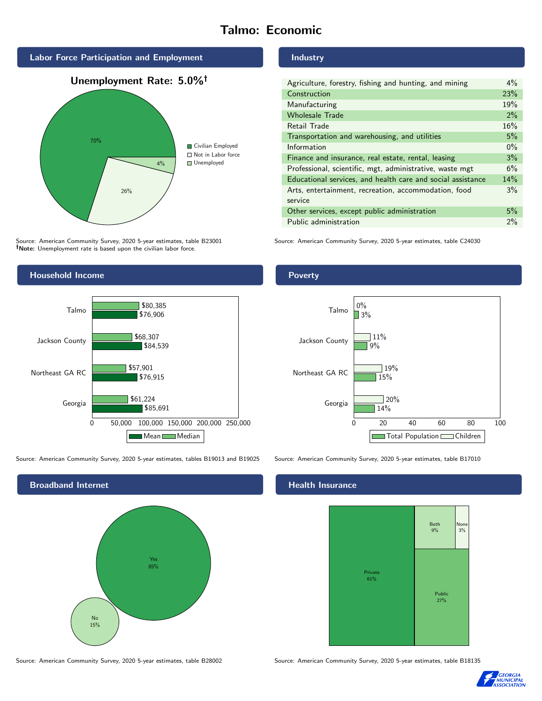# Talmo: Economic



Source: American Community Survey, 2020 5-year estimates, table B23001 Note: Unemployment rate is based upon the civilian labor force.



Source: American Community Survey, 2020 5-year estimates, tables B19013 and B19025 Source: American Community Survey, 2020 5-year estimates, table B17010



#### Industry

| Agriculture, forestry, fishing and hunting, and mining      | $4\%$ |
|-------------------------------------------------------------|-------|
| Construction                                                | 23%   |
| Manufacturing                                               | 19%   |
| <b>Wholesale Trade</b>                                      | 2%    |
| Retail Trade                                                | 16%   |
| Transportation and warehousing, and utilities               | 5%    |
| Information                                                 | $0\%$ |
| Finance and insurance, real estate, rental, leasing         | 3%    |
| Professional, scientific, mgt, administrative, waste mgt    | 6%    |
| Educational services, and health care and social assistance | 14%   |
| Arts, entertainment, recreation, accommodation, food        | 3%    |
| service                                                     |       |
| Other services, except public administration                | 5%    |
| Public administration                                       | 2%    |

Source: American Community Survey, 2020 5-year estimates, table C24030

#### Poverty



### **Health Insurance**



Source: American Community Survey, 2020 5-year estimates, table B28002 Source: American Community Survey, 2020 5-year estimates, table B18135